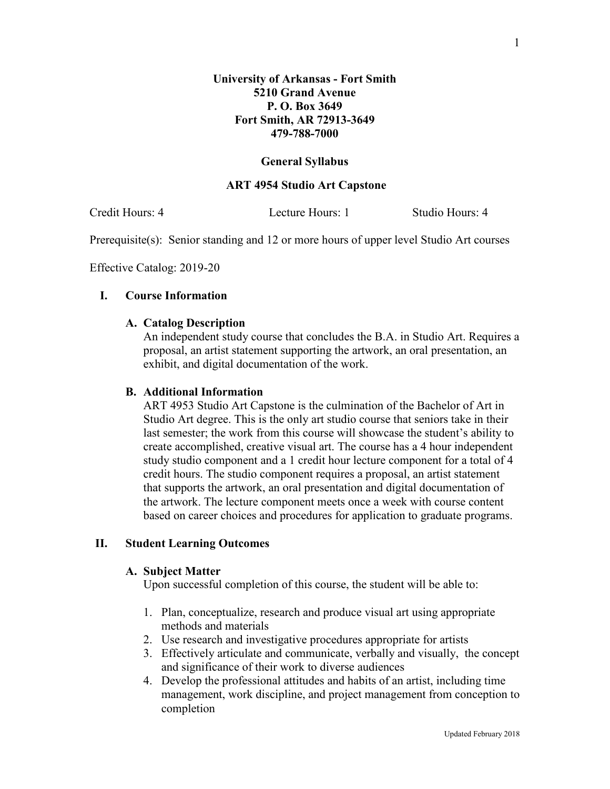### **General Syllabus**

#### **ART 4954 Studio Art Capstone**

Credit Hours: 4 Lecture Hours: 1 Studio Hours: 4

Prerequisite(s): Senior standing and 12 or more hours of upper level Studio Art courses

Effective Catalog: 2019-20

## **I. Course Information**

### **A. Catalog Description**

An independent study course that concludes the B.A. in Studio Art. Requires a proposal, an artist statement supporting the artwork, an oral presentation, an exhibit, and digital documentation of the work.

### **B. Additional Information**

ART 4953 Studio Art Capstone is the culmination of the Bachelor of Art in Studio Art degree. This is the only art studio course that seniors take in their last semester; the work from this course will showcase the student's ability to create accomplished, creative visual art. The course has a 4 hour independent study studio component and a 1 credit hour lecture component for a total of 4 credit hours. The studio component requires a proposal, an artist statement that supports the artwork, an oral presentation and digital documentation of the artwork. The lecture component meets once a week with course content based on career choices and procedures for application to graduate programs.

### **II. Student Learning Outcomes**

#### **A. Subject Matter**

Upon successful completion of this course, the student will be able to:

- 1. Plan, conceptualize, research and produce visual art using appropriate methods and materials
- 2. Use research and investigative procedures appropriate for artists
- 3. Effectively articulate and communicate, verbally and visually, the concept and significance of their work to diverse audiences
- 4. Develop the professional attitudes and habits of an artist, including time management, work discipline, and project management from conception to completion